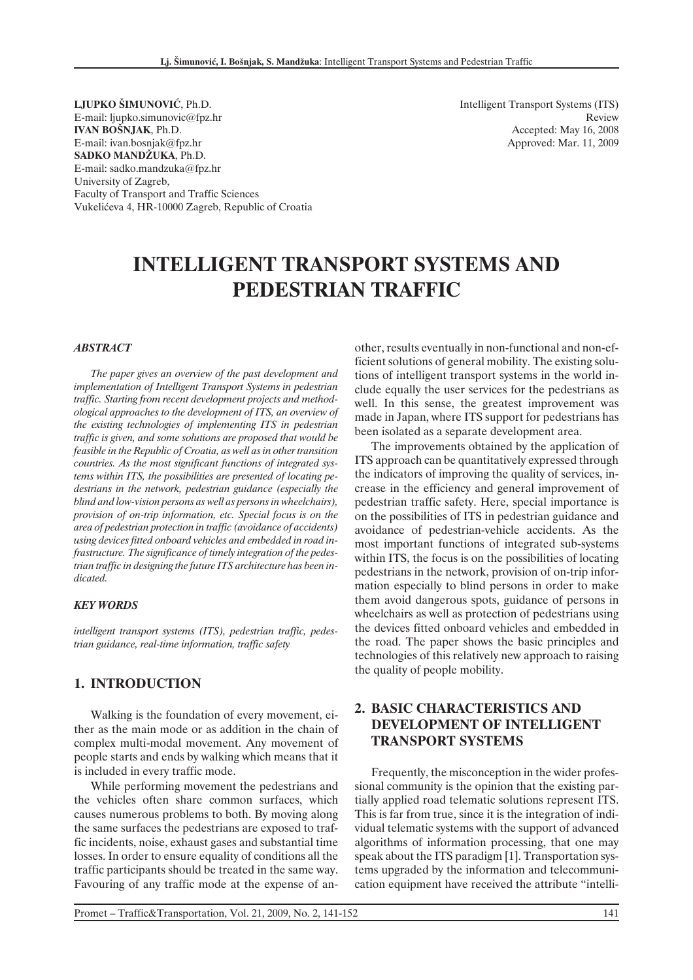**LJUPKO ŠIMUNOVIÆ**, Ph.D. E-mail: ljupko.simunovic@fpz.hr **IVAN BOŠNJAK**, Ph.D. E-mail: ivan.bosnjak@fpz.hr **SADKO MANDŽUKA**, Ph.D. E-mail: sadko.mandzuka@fpz.hr University of Zagreb, Faculty of Transport and Traffic Sciences Vukeliæeva 4, HR-10000 Zagreb, Republic of Croatia Intelligent Transport Systems (ITS) Review Accepted: May 16, 2008 Approved: Mar. 11, 2009

# **INTELLIGENT TRANSPORT SYSTEMS AND PEDESTRIAN TRAFFIC**

#### *ABSTRACT*

*The paper gives an overview of the past development and implementation of Intelligent Transport Systems in pedestrian traffic. Starting from recent development projects and methodological approaches to the development of ITS, an overview of the existing technologies of implementing ITS in pedestrian traffic is given, and some solutions are proposed that would be feasible in the Republic of Croatia, as well as in other transition countries. As the most significant functions of integrated systems within ITS, the possibilities are presented of locating pedestrians in the network, pedestrian guidance (especially the blind and low-vision persons as well as persons in wheelchairs), provision of on-trip information, etc. Special focus is on the area of pedestrian protection in traffic (avoidance of accidents) using devices fitted onboard vehicles and embedded in road infrastructure. The significance of timely integration of the pedestrian traffic in designing the future ITS architecture has been indicated.*

#### *KEY WORDS*

*intelligent transport systems (ITS), pedestrian traffic, pedestrian guidance, real-time information, traffic safety*

## **1. INTRODUCTION**

Walking is the foundation of every movement, either as the main mode or as addition in the chain of complex multi-modal movement. Any movement of people starts and ends by walking which means that it is included in every traffic mode.

While performing movement the pedestrians and the vehicles often share common surfaces, which causes numerous problems to both. By moving along the same surfaces the pedestrians are exposed to traffic incidents, noise, exhaust gases and substantial time losses. In order to ensure equality of conditions all the traffic participants should be treated in the same way. Favouring of any traffic mode at the expense of another, results eventually in non-functional and non-efficient solutions of general mobility. The existing solutions of intelligent transport systems in the world include equally the user services for the pedestrians as well. In this sense, the greatest improvement was made in Japan, where ITS support for pedestrians has been isolated as a separate development area.

The improvements obtained by the application of ITS approach can be quantitatively expressed through the indicators of improving the quality of services, increase in the efficiency and general improvement of pedestrian traffic safety. Here, special importance is on the possibilities of ITS in pedestrian guidance and avoidance of pedestrian-vehicle accidents. As the most important functions of integrated sub-systems within ITS, the focus is on the possibilities of locating pedestrians in the network, provision of on-trip information especially to blind persons in order to make them avoid dangerous spots, guidance of persons in wheelchairs as well as protection of pedestrians using the devices fitted onboard vehicles and embedded in the road. The paper shows the basic principles and technologies of this relatively new approach to raising the quality of people mobility.

## **2. BASIC CHARACTERISTICS AND DEVELOPMENT OF INTELLIGENT TRANSPORT SYSTEMS**

Frequently, the misconception in the wider professional community is the opinion that the existing partially applied road telematic solutions represent ITS. This is far from true, since it is the integration of individual telematic systems with the support of advanced algorithms of information processing, that one may speak about the ITS paradigm [1]. Transportation systems upgraded by the information and telecommunication equipment have received the attribute "intelli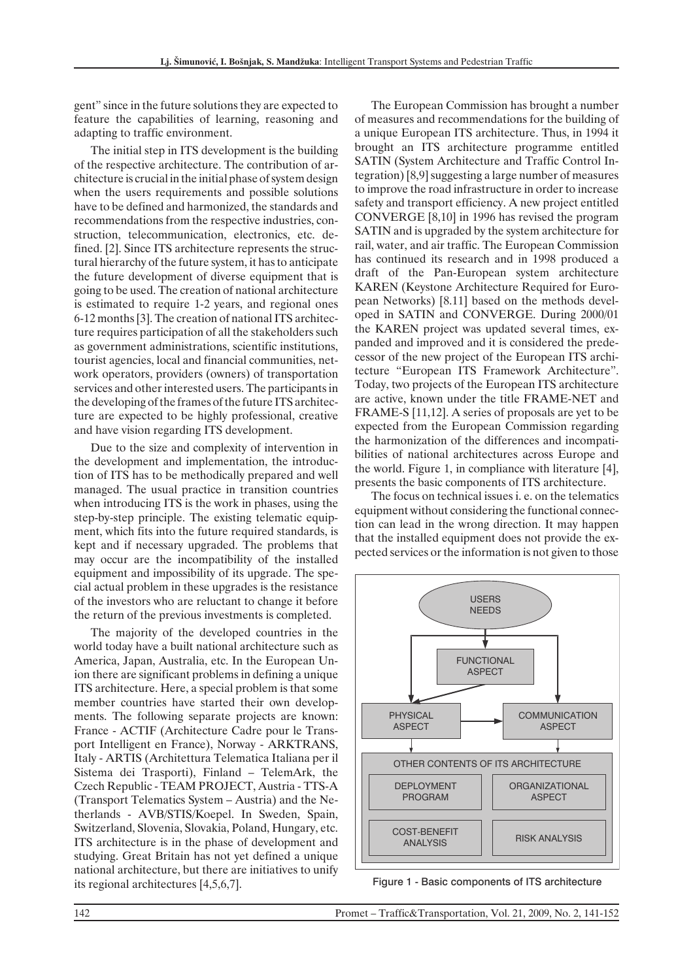gent" since in the future solutions they are expected to feature the capabilities of learning, reasoning and adapting to traffic environment.

The initial step in ITS development is the building of the respective architecture. The contribution of architecture is crucial in the initial phase of system design when the users requirements and possible solutions have to be defined and harmonized, the standards and recommendations from the respective industries, construction, telecommunication, electronics, etc. defined. [2]. Since ITS architecture represents the structural hierarchy of the future system, it has to anticipate the future development of diverse equipment that is going to be used. The creation of national architecture is estimated to require 1-2 years, and regional ones 6-12 months [3]. The creation of national ITS architecture requires participation of all the stakeholders such as government administrations, scientific institutions, tourist agencies, local and financial communities, network operators, providers (owners) of transportation services and other interested users. The participants in the developing of the frames of the future ITS architecture are expected to be highly professional, creative and have vision regarding ITS development.

Due to the size and complexity of intervention in the development and implementation, the introduction of ITS has to be methodically prepared and well managed. The usual practice in transition countries when introducing ITS is the work in phases, using the step-by-step principle. The existing telematic equipment, which fits into the future required standards, is kept and if necessary upgraded. The problems that may occur are the incompatibility of the installed equipment and impossibility of its upgrade. The special actual problem in these upgrades is the resistance of the investors who are reluctant to change it before the return of the previous investments is completed.

The majority of the developed countries in the world today have a built national architecture such as America, Japan, Australia, etc. In the European Union there are significant problems in defining a unique ITS architecture. Here, a special problem is that some member countries have started their own developments. The following separate projects are known: France - ACTIF (Architecture Cadre pour le Transport Intelligent en France), Norway - ARKTRANS, Italy - ARTIS (Architettura Telematica Italiana per il Sistema dei Trasporti), Finland – TelemArk, the Czech Republic - TEAM PROJECT, Austria - TTS-A (Transport Telematics System – Austria) and the Netherlands - AVB/STIS/Koepel. In Sweden, Spain, Switzerland, Slovenia, Slovakia, Poland, Hungary, etc. ITS architecture is in the phase of development and studying. Great Britain has not yet defined a unique national architecture, but there are initiatives to unify its regional architectures [4,5,6,7].

The European Commission has brought a number of measures and recommendations for the building of a unique European ITS architecture. Thus, in 1994 it brought an ITS architecture programme entitled SATIN (System Architecture and Traffic Control Integration) [8,9] suggesting a large number of measures to improve the road infrastructure in order to increase safety and transport efficiency. A new project entitled CONVERGE [8,10] in 1996 has revised the program SATIN and is upgraded by the system architecture for rail, water, and air traffic. The European Commission has continued its research and in 1998 produced a draft of the Pan-European system architecture KAREN (Keystone Architecture Required for European Networks) [8.11] based on the methods developed in SATIN and CONVERGE. During 2000/01 the KAREN project was updated several times, expanded and improved and it is considered the predecessor of the new project of the European ITS architecture "European ITS Framework Architecture". Today, two projects of the European ITS architecture are active, known under the title FRAME-NET and FRAME-S [11,12]. A series of proposals are yet to be expected from the European Commission regarding the harmonization of the differences and incompatibilities of national architectures across Europe and the world. Figure 1, in compliance with literature [4], presents the basic components of ITS architecture.

The focus on technical issues i. e. on the telematics equipment without considering the functional connection can lead in the wrong direction. It may happen that the installed equipment does not provide the expected services or the information is not given to those



Figure 1 - Basic components of ITS architecture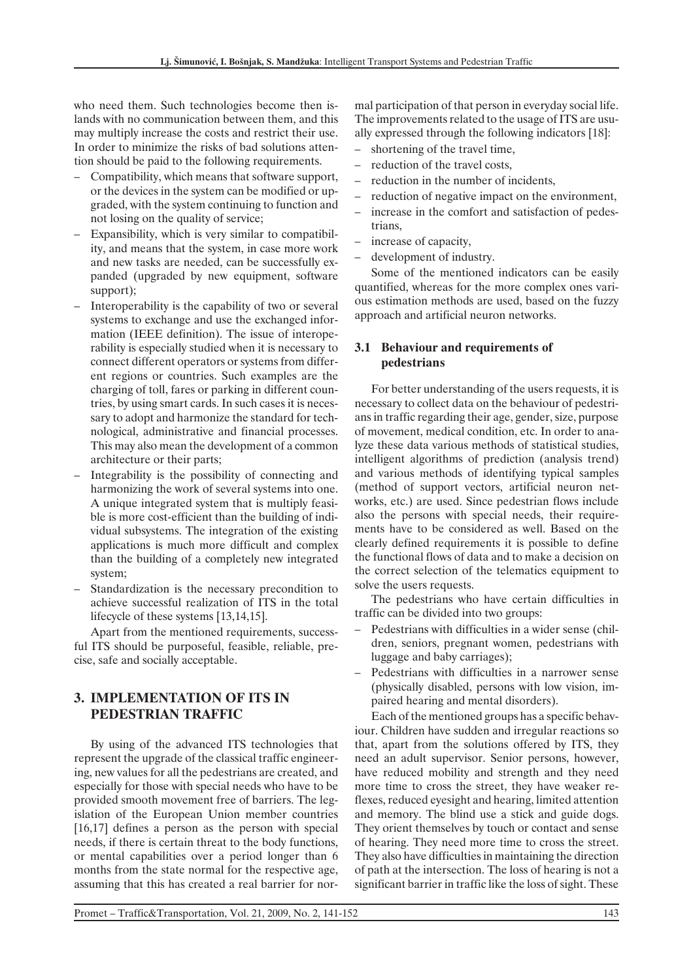who need them. Such technologies become then islands with no communication between them, and this may multiply increase the costs and restrict their use. In order to minimize the risks of bad solutions attention should be paid to the following requirements.

- Compatibility, which means that software support, or the devices in the system can be modified or upgraded, with the system continuing to function and not losing on the quality of service;
- Expansibility, which is very similar to compatibility, and means that the system, in case more work and new tasks are needed, can be successfully expanded (upgraded by new equipment, software support);
- Interoperability is the capability of two or several systems to exchange and use the exchanged information (IEEE definition). The issue of interoperability is especially studied when it is necessary to connect different operators or systems from different regions or countries. Such examples are the charging of toll, fares or parking in different countries, by using smart cards. In such cases it is necessary to adopt and harmonize the standard for technological, administrative and financial processes. This may also mean the development of a common architecture or their parts;
- Integrability is the possibility of connecting and harmonizing the work of several systems into one. A unique integrated system that is multiply feasible is more cost-efficient than the building of individual subsystems. The integration of the existing applications is much more difficult and complex than the building of a completely new integrated system;
- Standardization is the necessary precondition to achieve successful realization of ITS in the total lifecycle of these systems [13,14,15].

Apart from the mentioned requirements, successful ITS should be purposeful, feasible, reliable, precise, safe and socially acceptable.

# **3. IMPLEMENTATION OF ITS IN PEDESTRIAN TRAFFIC**

By using of the advanced ITS technologies that represent the upgrade of the classical traffic engineering, new values for all the pedestrians are created, and especially for those with special needs who have to be provided smooth movement free of barriers. The legislation of the European Union member countries [16,17] defines a person as the person with special needs, if there is certain threat to the body functions, or mental capabilities over a period longer than 6 months from the state normal for the respective age, assuming that this has created a real barrier for normal participation of that person in everyday social life. The improvements related to the usage of ITS are usually expressed through the following indicators [18]:

- shortening of the travel time,
- reduction of the travel costs.
- reduction in the number of incidents.
- reduction of negative impact on the environment,
- increase in the comfort and satisfaction of pedestrians,
- increase of capacity,
- development of industry.

Some of the mentioned indicators can be easily quantified, whereas for the more complex ones various estimation methods are used, based on the fuzzy approach and artificial neuron networks.

## **3.1 Behaviour and requirements of pedestrians**

For better understanding of the users requests, it is necessary to collect data on the behaviour of pedestrians in traffic regarding their age, gender, size, purpose of movement, medical condition, etc. In order to analyze these data various methods of statistical studies, intelligent algorithms of prediction (analysis trend) and various methods of identifying typical samples (method of support vectors, artificial neuron networks, etc.) are used. Since pedestrian flows include also the persons with special needs, their requirements have to be considered as well. Based on the clearly defined requirements it is possible to define the functional flows of data and to make a decision on the correct selection of the telematics equipment to solve the users requests.

The pedestrians who have certain difficulties in traffic can be divided into two groups:

- Pedestrians with difficulties in a wider sense (children, seniors, pregnant women, pedestrians with luggage and baby carriages);
- Pedestrians with difficulties in a narrower sense (physically disabled, persons with low vision, impaired hearing and mental disorders).

Each of the mentioned groups has a specific behaviour. Children have sudden and irregular reactions so that, apart from the solutions offered by ITS, they need an adult supervisor. Senior persons, however, have reduced mobility and strength and they need more time to cross the street, they have weaker reflexes, reduced eyesight and hearing, limited attention and memory. The blind use a stick and guide dogs. They orient themselves by touch or contact and sense of hearing. They need more time to cross the street. They also have difficulties in maintaining the direction of path at the intersection. The loss of hearing is not a significant barrier in traffic like the loss of sight. These

Promet – Traffic&Transportation, Vol. 21, 2009, No. 2, 141-152 143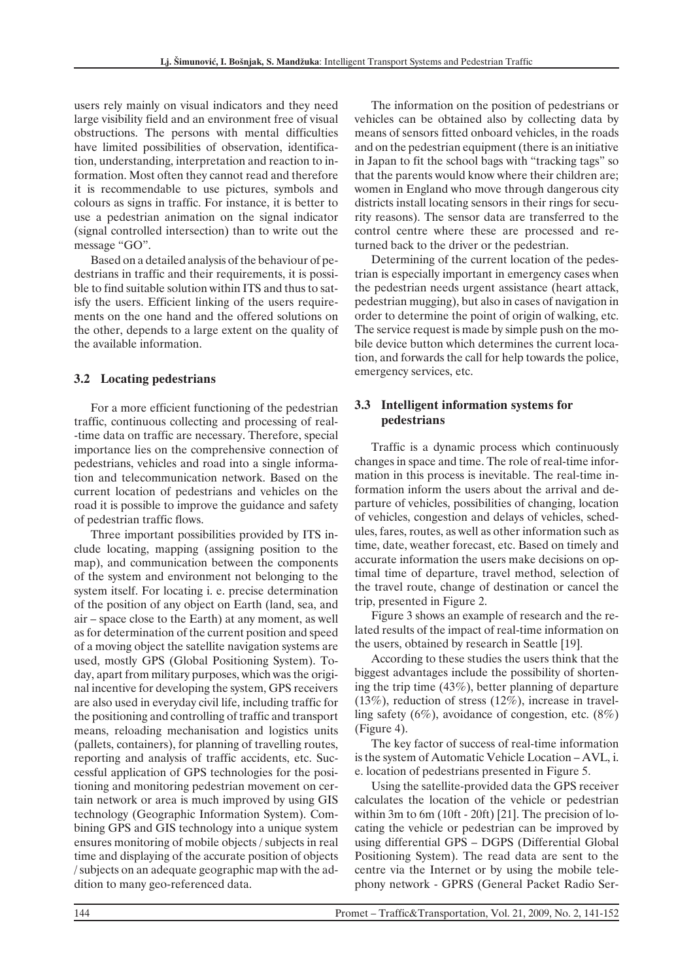users rely mainly on visual indicators and they need large visibility field and an environment free of visual obstructions. The persons with mental difficulties have limited possibilities of observation, identification, understanding, interpretation and reaction to information. Most often they cannot read and therefore it is recommendable to use pictures, symbols and colours as signs in traffic. For instance, it is better to use a pedestrian animation on the signal indicator (signal controlled intersection) than to write out the message "GO".

Based on a detailed analysis of the behaviour of pedestrians in traffic and their requirements, it is possible to find suitable solution within ITS and thus to satisfy the users. Efficient linking of the users requirements on the one hand and the offered solutions on the other, depends to a large extent on the quality of the available information.

## **3.2 Locating pedestrians**

For a more efficient functioning of the pedestrian traffic, continuous collecting and processing of real- -time data on traffic are necessary. Therefore, special importance lies on the comprehensive connection of pedestrians, vehicles and road into a single information and telecommunication network. Based on the current location of pedestrians and vehicles on the road it is possible to improve the guidance and safety of pedestrian traffic flows.

Three important possibilities provided by ITS include locating, mapping (assigning position to the map), and communication between the components of the system and environment not belonging to the system itself. For locating i. e. precise determination of the position of any object on Earth (land, sea, and air – space close to the Earth) at any moment, as well as for determination of the current position and speed of a moving object the satellite navigation systems are used, mostly GPS (Global Positioning System). Today, apart from military purposes, which was the original incentive for developing the system, GPS receivers are also used in everyday civil life, including traffic for the positioning and controlling of traffic and transport means, reloading mechanisation and logistics units (pallets, containers), for planning of travelling routes, reporting and analysis of traffic accidents, etc. Successful application of GPS technologies for the positioning and monitoring pedestrian movement on certain network or area is much improved by using GIS technology (Geographic Information System). Combining GPS and GIS technology into a unique system ensures monitoring of mobile objects / subjects in real time and displaying of the accurate position of objects / subjects on an adequate geographic map with the addition to many geo-referenced data.

The information on the position of pedestrians or vehicles can be obtained also by collecting data by means of sensors fitted onboard vehicles, in the roads and on the pedestrian equipment (there is an initiative in Japan to fit the school bags with "tracking tags" so that the parents would know where their children are; women in England who move through dangerous city districts install locating sensors in their rings for security reasons). The sensor data are transferred to the control centre where these are processed and returned back to the driver or the pedestrian.

Determining of the current location of the pedestrian is especially important in emergency cases when the pedestrian needs urgent assistance (heart attack, pedestrian mugging), but also in cases of navigation in order to determine the point of origin of walking, etc. The service request is made by simple push on the mobile device button which determines the current location, and forwards the call for help towards the police, emergency services, etc.

## **3.3 Intelligent information systems for pedestrians**

Traffic is a dynamic process which continuously changes in space and time. The role of real-time information in this process is inevitable. The real-time information inform the users about the arrival and departure of vehicles, possibilities of changing, location of vehicles, congestion and delays of vehicles, schedules, fares, routes, as well as other information such as time, date, weather forecast, etc. Based on timely and accurate information the users make decisions on optimal time of departure, travel method, selection of the travel route, change of destination or cancel the trip, presented in Figure 2.

Figure 3 shows an example of research and the related results of the impact of real-time information on the users, obtained by research in Seattle [19].

According to these studies the users think that the biggest advantages include the possibility of shortening the trip time (43%), better planning of departure  $(13\%)$ , reduction of stress  $(12\%)$ , increase in travelling safety (6%), avoidance of congestion, etc.  $(8\%)$ (Figure 4).

The key factor of success of real-time information is the system of Automatic Vehicle Location – AVL, i. e. location of pedestrians presented in Figure 5.

Using the satellite-provided data the GPS receiver calculates the location of the vehicle or pedestrian within 3m to 6m (10ft - 20ft) [21]. The precision of locating the vehicle or pedestrian can be improved by using differential GPS – DGPS (Differential Global Positioning System). The read data are sent to the centre via the Internet or by using the mobile telephony network - GPRS (General Packet Radio Ser-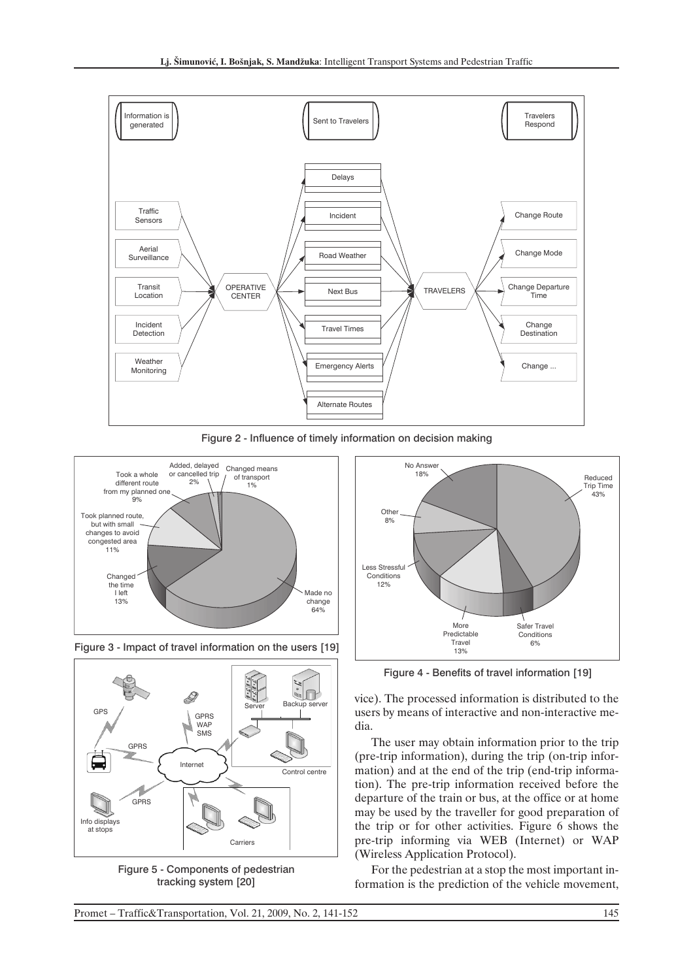

Figure 2 - Influence of timely information on decision making







Figure 5 - Components of pedestrian tracking system [20]



Figure 4 - Benefits of travel information [19]

vice). The processed information is distributed to the users by means of interactive and non-interactive media.

The user may obtain information prior to the trip (pre-trip information), during the trip (on-trip information) and at the end of the trip (end-trip information). The pre-trip information received before the departure of the train or bus, at the office or at home may be used by the traveller for good preparation of the trip or for other activities. Figure 6 shows the pre-trip informing via WEB (Internet) or WAP (Wireless Application Protocol).

For the pedestrian at a stop the most important information is the prediction of the vehicle movement,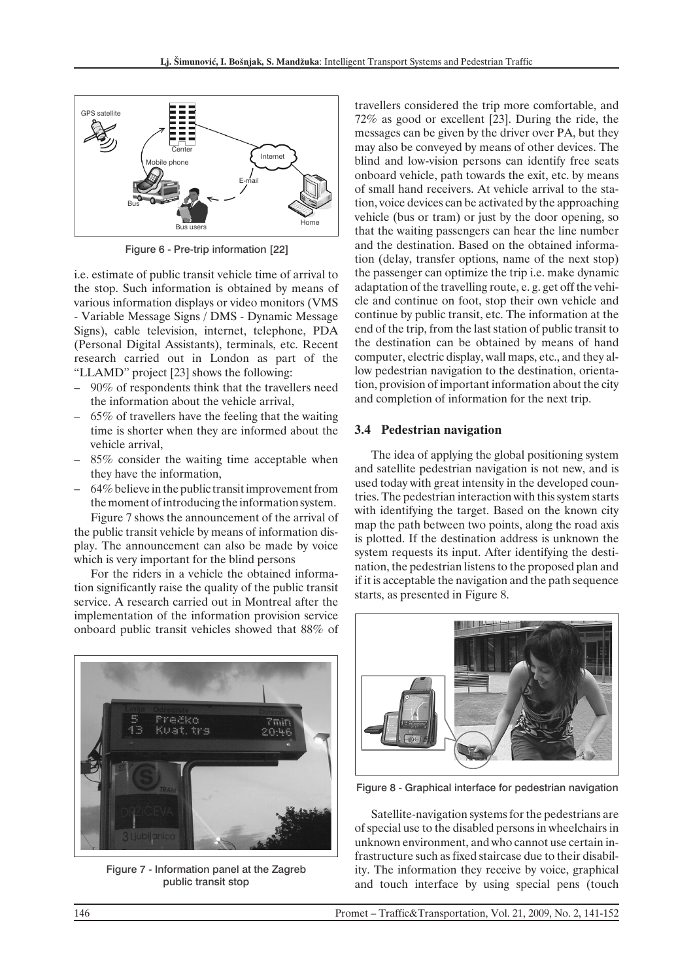

Figure 6 - Pre-trip information [22]

i.e. estimate of public transit vehicle time of arrival to the stop. Such information is obtained by means of various information displays or video monitors (VMS - Variable Message Signs / DMS - Dynamic Message Signs), cable television, internet, telephone, PDA (Personal Digital Assistants), terminals, etc. Recent research carried out in London as part of the "LLAMD" project [23] shows the following:

- 90% of respondents think that the travellers need the information about the vehicle arrival,
- $65\%$  of travellers have the feeling that the waiting time is shorter when they are informed about the vehicle arrival,
- 85% consider the waiting time acceptable when they have the information,
- 64% believe in the public transit improvement from the moment of introducing the information system.

Figure 7 shows the announcement of the arrival of the public transit vehicle by means of information display. The announcement can also be made by voice which is very important for the blind persons

For the riders in a vehicle the obtained information significantly raise the quality of the public transit service. A research carried out in Montreal after the implementation of the information provision service onboard public transit vehicles showed that 88% of



Figure 7 - Information panel at the Zagreb public transit stop

travellers considered the trip more comfortable, and 72% as good or excellent [23]. During the ride, the messages can be given by the driver over PA, but they may also be conveyed by means of other devices. The blind and low-vision persons can identify free seats onboard vehicle, path towards the exit, etc. by means of small hand receivers. At vehicle arrival to the station, voice devices can be activated by the approaching vehicle (bus or tram) or just by the door opening, so that the waiting passengers can hear the line number and the destination. Based on the obtained information (delay, transfer options, name of the next stop) the passenger can optimize the trip i.e. make dynamic adaptation of the travelling route, e. g. get off the vehicle and continue on foot, stop their own vehicle and continue by public transit, etc. The information at the end of the trip, from the last station of public transit to the destination can be obtained by means of hand computer, electric display, wall maps, etc., and they allow pedestrian navigation to the destination, orientation, provision of important information about the city and completion of information for the next trip.

#### **3.4 Pedestrian navigation**

The idea of applying the global positioning system and satellite pedestrian navigation is not new, and is used today with great intensity in the developed countries. The pedestrian interaction with this system starts with identifying the target. Based on the known city map the path between two points, along the road axis is plotted. If the destination address is unknown the system requests its input. After identifying the destination, the pedestrian listens to the proposed plan and if it is acceptable the navigation and the path sequence starts, as presented in Figure 8.



Figure 8 - Graphical interface for pedestrian navigation

Satellite-navigation systems for the pedestrians are of special use to the disabled persons in wheelchairs in unknown environment, and who cannot use certain infrastructure such as fixed staircase due to their disability. The information they receive by voice, graphical and touch interface by using special pens (touch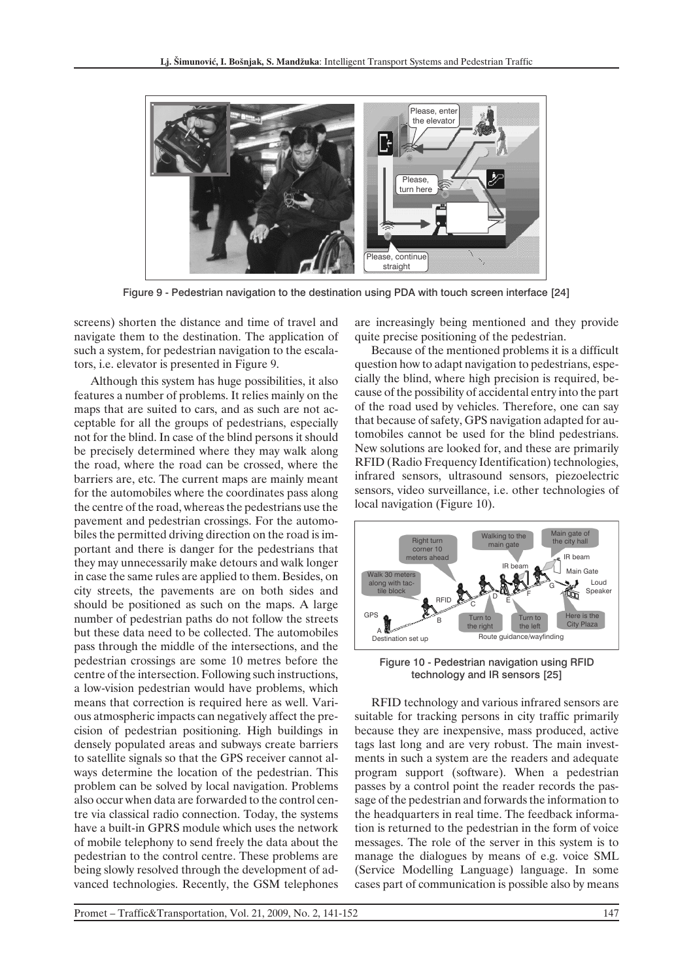

Figure 9 - Pedestrian navigation to the destination using PDA with touch screen interface [24]

screens) shorten the distance and time of travel and navigate them to the destination. The application of such a system, for pedestrian navigation to the escalators, i.e. elevator is presented in Figure 9.

Although this system has huge possibilities, it also features a number of problems. It relies mainly on the maps that are suited to cars, and as such are not acceptable for all the groups of pedestrians, especially not for the blind. In case of the blind persons it should be precisely determined where they may walk along the road, where the road can be crossed, where the barriers are, etc. The current maps are mainly meant for the automobiles where the coordinates pass along the centre of the road, whereas the pedestrians use the pavement and pedestrian crossings. For the automobiles the permitted driving direction on the road is important and there is danger for the pedestrians that they may unnecessarily make detours and walk longer in case the same rules are applied to them. Besides, on city streets, the pavements are on both sides and should be positioned as such on the maps. A large number of pedestrian paths do not follow the streets but these data need to be collected. The automobiles pass through the middle of the intersections, and the pedestrian crossings are some 10 metres before the centre of the intersection. Following such instructions, a low-vision pedestrian would have problems, which means that correction is required here as well. Various atmospheric impacts can negatively affect the precision of pedestrian positioning. High buildings in densely populated areas and subways create barriers to satellite signals so that the GPS receiver cannot always determine the location of the pedestrian. This problem can be solved by local navigation. Problems also occur when data are forwarded to the control centre via classical radio connection. Today, the systems have a built-in GPRS module which uses the network of mobile telephony to send freely the data about the pedestrian to the control centre. These problems are being slowly resolved through the development of advanced technologies. Recently, the GSM telephones are increasingly being mentioned and they provide quite precise positioning of the pedestrian.

Because of the mentioned problems it is a difficult question how to adapt navigation to pedestrians, especially the blind, where high precision is required, because of the possibility of accidental entry into the part of the road used by vehicles. Therefore, one can say that because of safety, GPS navigation adapted for automobiles cannot be used for the blind pedestrians. New solutions are looked for, and these are primarily RFID (Radio Frequency Identification) technologies, infrared sensors, ultrasound sensors, piezoelectric sensors, video surveillance, i.e. other technologies of local navigation (Figure 10).



Figure 10 - Pedestrian navigation using RFID technology and IR sensors [25]

RFID technology and various infrared sensors are suitable for tracking persons in city traffic primarily because they are inexpensive, mass produced, active tags last long and are very robust. The main investments in such a system are the readers and adequate program support (software). When a pedestrian passes by a control point the reader records the passage of the pedestrian and forwards the information to the headquarters in real time. The feedback information is returned to the pedestrian in the form of voice messages. The role of the server in this system is to manage the dialogues by means of e.g. voice SML (Service Modelling Language) language. In some cases part of communication is possible also by means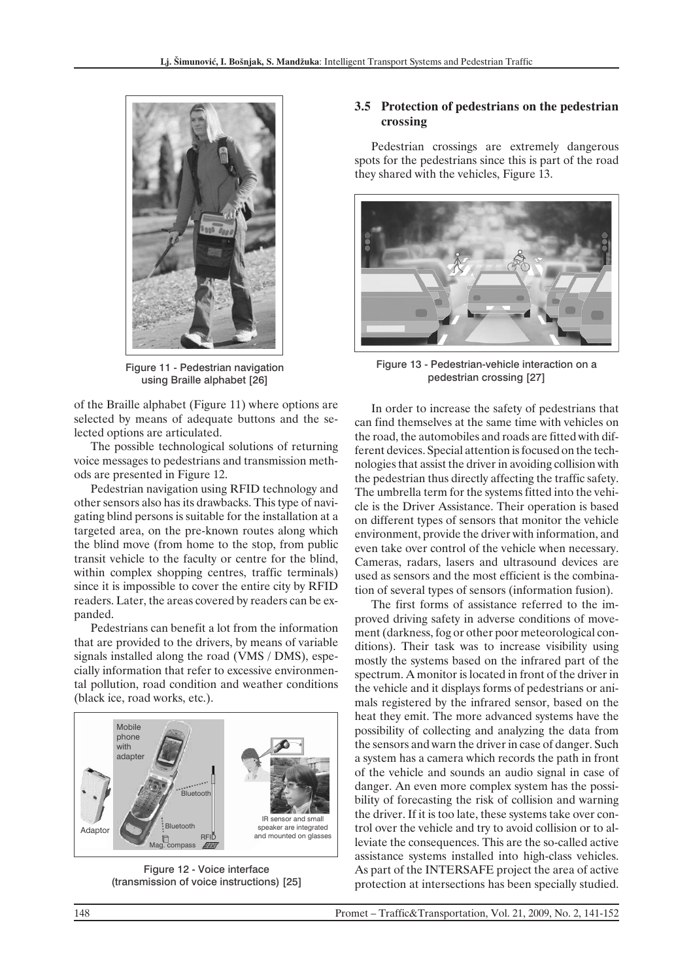

Figure 11 - Pedestrian navigation using Braille alphabet [26]

of the Braille alphabet (Figure 11) where options are selected by means of adequate buttons and the selected options are articulated.

The possible technological solutions of returning voice messages to pedestrians and transmission methods are presented in Figure 12.

Pedestrian navigation using RFID technology and other sensors also has its drawbacks. This type of navigating blind persons is suitable for the installation at a targeted area, on the pre-known routes along which the blind move (from home to the stop, from public transit vehicle to the faculty or centre for the blind, within complex shopping centres, traffic terminals) since it is impossible to cover the entire city by RFID readers. Later, the areas covered by readers can be expanded.

Pedestrians can benefit a lot from the information that are provided to the drivers, by means of variable signals installed along the road (VMS / DMS), especially information that refer to excessive environmental pollution, road condition and weather conditions (black ice, road works, etc.).



Figure 12 - Voice interface (transmission of voice instructions) [25]

## **3.5 Protection of pedestrians on the pedestrian crossing**

Pedestrian crossings are extremely dangerous spots for the pedestrians since this is part of the road they shared with the vehicles, Figure 13.



Figure 13 - Pedestrian-vehicle interaction on a pedestrian crossing [27]

In order to increase the safety of pedestrians that can find themselves at the same time with vehicles on the road, the automobiles and roads are fitted with different devices. Special attention is focused on the technologies that assist the driver in avoiding collision with the pedestrian thus directly affecting the traffic safety. The umbrella term for the systems fitted into the vehicle is the Driver Assistance. Their operation is based on different types of sensors that monitor the vehicle environment, provide the driver with information, and even take over control of the vehicle when necessary. Cameras, radars, lasers and ultrasound devices are used as sensors and the most efficient is the combination of several types of sensors (information fusion).

The first forms of assistance referred to the improved driving safety in adverse conditions of movement (darkness, fog or other poor meteorological conditions). Their task was to increase visibility using mostly the systems based on the infrared part of the spectrum. A monitor is located in front of the driver in the vehicle and it displays forms of pedestrians or animals registered by the infrared sensor, based on the heat they emit. The more advanced systems have the possibility of collecting and analyzing the data from the sensors and warn the driver in case of danger. Such a system has a camera which records the path in front of the vehicle and sounds an audio signal in case of danger. An even more complex system has the possibility of forecasting the risk of collision and warning the driver. If it is too late, these systems take over control over the vehicle and try to avoid collision or to alleviate the consequences. This are the so-called active assistance systems installed into high-class vehicles. As part of the INTERSAFE project the area of active protection at intersections has been specially studied.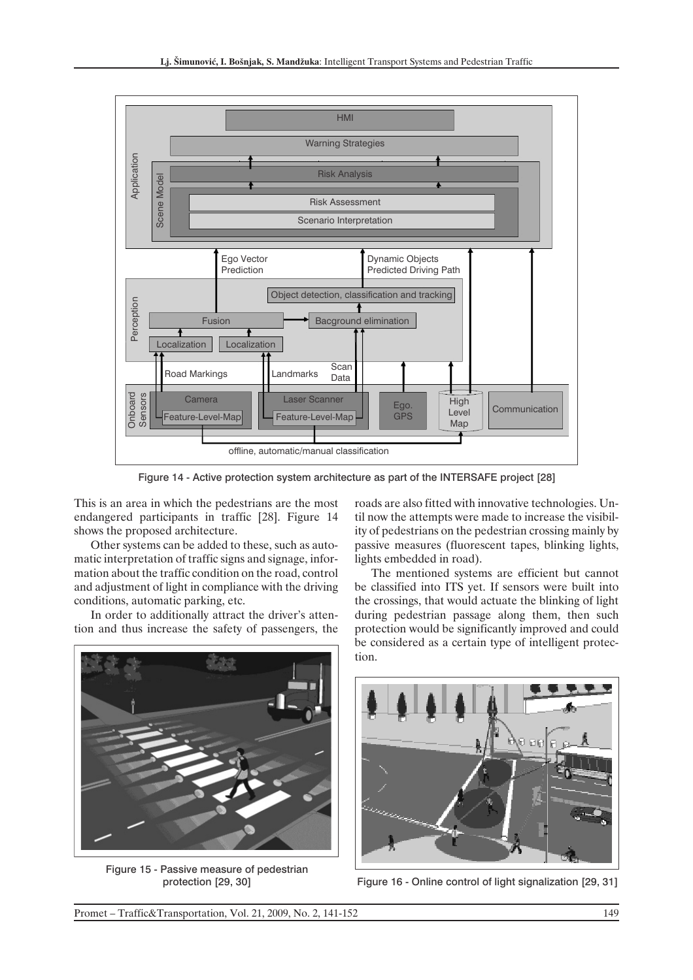

Figure 14 - Active protection system architecture as part of the INTERSAFE project [28]

This is an area in which the pedestrians are the most endangered participants in traffic [28]. Figure 14 shows the proposed architecture.

Other systems can be added to these, such as automatic interpretation of traffic signs and signage, information about the traffic condition on the road, control and adjustment of light in compliance with the driving conditions, automatic parking, etc.

In order to additionally attract the driver's attention and thus increase the safety of passengers, the

roads are also fitted with innovative technologies. Until now the attempts were made to increase the visibility of pedestrians on the pedestrian crossing mainly by passive measures (fluorescent tapes, blinking lights, lights embedded in road).

The mentioned systems are efficient but cannot be classified into ITS yet. If sensors were built into the crossings, that would actuate the blinking of light during pedestrian passage along them, then such protection would be significantly improved and could be considered as a certain type of intelligent protection.



Figure 15 - Passive measure of pedestrian



protection [29, 30] Figure 16 - Online control of light signalization [29, 31]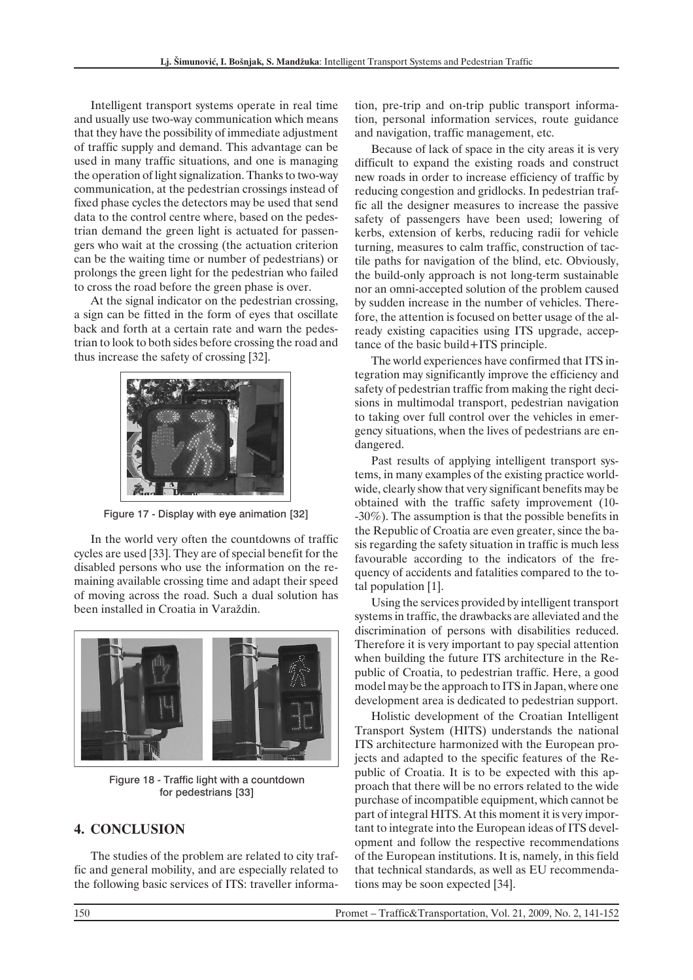Intelligent transport systems operate in real time and usually use two-way communication which means that they have the possibility of immediate adjustment of traffic supply and demand. This advantage can be used in many traffic situations, and one is managing the operation of light signalization. Thanks to two-way communication, at the pedestrian crossings instead of fixed phase cycles the detectors may be used that send data to the control centre where, based on the pedestrian demand the green light is actuated for passengers who wait at the crossing (the actuation criterion can be the waiting time or number of pedestrians) or prolongs the green light for the pedestrian who failed to cross the road before the green phase is over.

At the signal indicator on the pedestrian crossing, a sign can be fitted in the form of eyes that oscillate back and forth at a certain rate and warn the pedestrian to look to both sides before crossing the road and thus increase the safety of crossing [32].



Figure 17 - Display with eye animation [32]

In the world very often the countdowns of traffic cycles are used [33]. They are of special benefit for the disabled persons who use the information on the remaining available crossing time and adapt their speed of moving across the road. Such a dual solution has been installed in Croatia in Varaždin.



Figure 18 - Traffic light with a countdown for pedestrians [33]

## **4. CONCLUSION**

The studies of the problem are related to city traffic and general mobility, and are especially related to the following basic services of ITS: traveller informa-

tion, pre-trip and on-trip public transport information, personal information services, route guidance and navigation, traffic management, etc.

Because of lack of space in the city areas it is very difficult to expand the existing roads and construct new roads in order to increase efficiency of traffic by reducing congestion and gridlocks. In pedestrian traffic all the designer measures to increase the passive safety of passengers have been used; lowering of kerbs, extension of kerbs, reducing radii for vehicle turning, measures to calm traffic, construction of tactile paths for navigation of the blind, etc. Obviously, the build-only approach is not long-term sustainable nor an omni-accepted solution of the problem caused by sudden increase in the number of vehicles. Therefore, the attention is focused on better usage of the already existing capacities using ITS upgrade, acceptance of the basic build+ITS principle.

The world experiences have confirmed that ITS integration may significantly improve the efficiency and safety of pedestrian traffic from making the right decisions in multimodal transport, pedestrian navigation to taking over full control over the vehicles in emergency situations, when the lives of pedestrians are endangered.

Past results of applying intelligent transport systems, in many examples of the existing practice worldwide, clearly show that very significant benefits may be obtained with the traffic safety improvement (10- -30%). The assumption is that the possible benefits in the Republic of Croatia are even greater, since the basis regarding the safety situation in traffic is much less favourable according to the indicators of the frequency of accidents and fatalities compared to the total population [1].

Using the services provided by intelligent transport systems in traffic, the drawbacks are alleviated and the discrimination of persons with disabilities reduced. Therefore it is very important to pay special attention when building the future ITS architecture in the Republic of Croatia, to pedestrian traffic. Here, a good model may be the approach to ITS in Japan, where one development area is dedicated to pedestrian support.

Holistic development of the Croatian Intelligent Transport System (HITS) understands the national ITS architecture harmonized with the European projects and adapted to the specific features of the Republic of Croatia. It is to be expected with this approach that there will be no errors related to the wide purchase of incompatible equipment, which cannot be part of integral HITS. At this moment it is very important to integrate into the European ideas of ITS development and follow the respective recommendations of the European institutions. It is, namely, in this field that technical standards, as well as EU recommendations may be soon expected [34].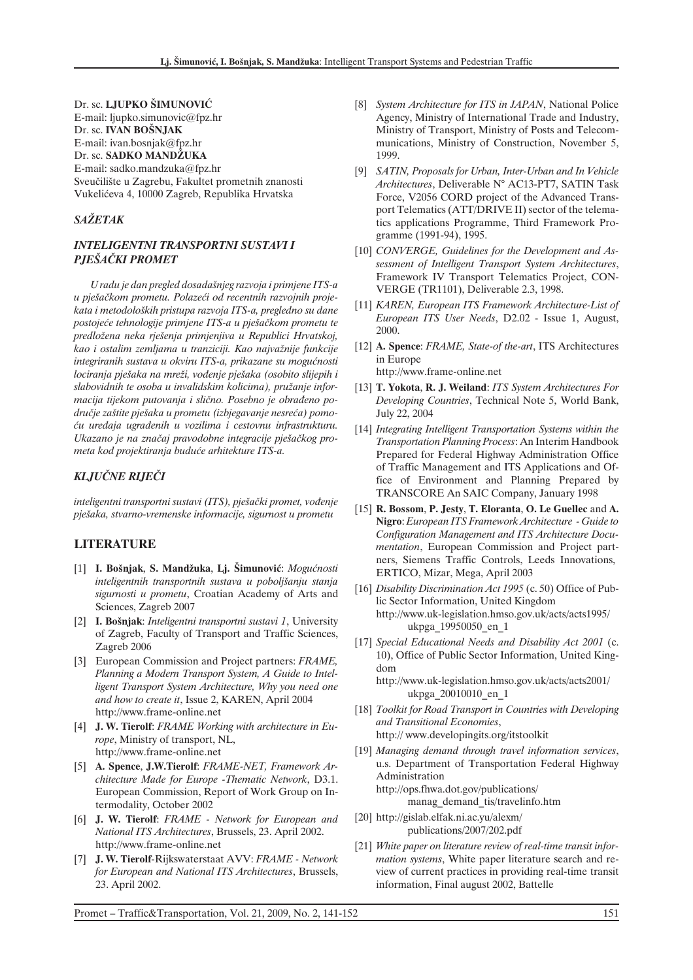Dr. sc. **LJUPKO ŠIMUNOVIÆ** E-mail: ljupko.simunovic@fpz.hr Dr. sc. **IVAN BOŠNJAK** E-mail: ivan.bosnjak@fpz.hr Dr. sc. **SADKO MANDÃUKA** E-mail: sadko.mandzuka@fpz.hr Sveuèilište u Zagrebu, Fakultet prometnih znanosti Vukeliæeva 4, 10000 Zagreb, Republika Hrvatska

#### *SAÃETAK*

#### *INTELIGENTNI TRANSPORTNI SUSTAVI I PJEŠAÈKI PROMET*

*U radu je dan pregled dosadašnjeg razvoja i primjene ITS-a u pješaèkom prometu. Polazeæi od recentnih razvojnih projekata i metodoloških pristupa razvoja ITS-a, pregledno su dane postojeæe tehnologije primjene ITS-a u pješaèkom prometu te predloãena neka rješenja primjenjiva u Republici Hrvatskoj, kao i ostalim zemljama u tranziciji. Kao najvaãnije funkcije integriranih sustava u okviru ITS-a, prikazane su mogućnosti lociranja pješaka na mreãi, voðenje pješaka (osobito slijepih i slabovidnih te osoba u invalidskim kolicima), pruãanje informacija tijekom putovanja i slièno. Posebno je obraðeno po*dručje zaštite pješaka u prometu (izbjegavanje nesreća) pomo*æu ureðaja ugraðenih u vozilima i cestovnu infrastrukturu. Ukazano je na znaèaj pravodobne integracije pješaèkog prometa kod projektiranja buduæe arhitekture ITS-a.*

#### *KLJUÈNE RIJEÈI*

*inteligentni transportni sustavi (ITS), pješaèki promet, voðenje pješaka, stvarno-vremenske informacije, sigurnost u prometu*

#### **LITERATURE**

- [1] **I. Bošnjak**, **S. Mandãuka**, **Lj. Šimunoviæ**: *Moguænosti inteligentnih transportnih sustava u poboljšanju stanja sigurnosti u prometu*, Croatian Academy of Arts and Sciences, Zagreb 2007
- [2] **I. Bošnjak**: *Inteligentni transportni sustavi 1*, University of Zagreb, Faculty of Transport and Traffic Sciences, Zagreb 2006
- [3] European Commission and Project partners: *FRAME, Planning a Modern Transport System, A Guide to Intelligent Transport System Architecture, Why you need one and how to create it*, Issue 2, KAREN, April 2004 http://www.frame-online.net
- [4] **J. W. Tierolf**: *FRAME Working with architecture in Europe*, Ministry of transport, NL, http://www.frame-online.net
- [5] **A. Spence**, **J.W.Tierolf**: *FRAME-NET, Framework Architecture Made for Europe -Thematic Network*, D3.1. European Commission, Report of Work Group on Intermodality, October 2002
- [6] **J. W. Tierolf**: *FRAME Network for European and National ITS Architectures*, Brussels, 23. April 2002. http://www.frame-online.net
- [7] **J. W. Tierolf**-Rijkswaterstaat AVV: *FRAME Network for European and National ITS Architectures*, Brussels, 23. April 2002.
- [8] *System Architecture for ITS in JAPAN*, National Police Agency, Ministry of International Trade and Industry, Ministry of Transport, Ministry of Posts and Telecommunications, Ministry of Construction, November 5, 1999.
- [9] *SATIN, Proposals for Urban, Inter-Urban and In Vehicle Architectures*, Deliverable N° AC13-PT7, SATIN Task Force, V2056 CORD project of the Advanced Transport Telematics (ATT/DRIVE II) sector of the telematics applications Programme, Third Framework Programme (1991-94), 1995.
- [10] *CONVERGE, Guidelines for the Development and Assessment of Intelligent Transport System Architectures*, Framework IV Transport Telematics Project, CON-VERGE (TR1101), Deliverable 2.3, 1998.
- [11] *KAREN, European ITS Framework Architecture-List of European ITS User Needs*, D2.02 - Issue 1, August, 2000.
- [12] **A. Spence**: *FRAME, State-of the-art*, ITS Architectures in Europe http://www.frame-online.net
- [13] **T. Yokota**, **R. J. Weiland**: *ITS System Architectures For Developing Countries*, Technical Note 5, World Bank, July 22, 2004
- [14] *Integrating Intelligent Transportation Systems within the Transportation Planning Process*: An Interim Handbook Prepared for Federal Highway Administration Office of Traffic Management and ITS Applications and Office of Environment and Planning Prepared by TRANSCORE An SAIC Company, January 1998
- [15] **R. Bossom**, **P. Jesty**, **T. Eloranta**, **O. Le Guellec** and **A. Nigro**: *European ITS Framework Architecture - Guide to Configuration Management and ITS Architecture Documentation*, European Commission and Project partners, Siemens Traffic Controls, Leeds Innovations, ERTICO, Mizar, Mega, April 2003
- [16] *Disability Discrimination Act 1995* (c. 50) Office of Public Sector Information, United Kingdom http://www.uk-legislation.hmso.gov.uk/acts/acts1995/ ukpga\_19950050\_en\_1
- [17] *Special Educational Needs and Disability Act 2001* (c. 10), Office of Public Sector Information, United Kingdom

http://www.uk-legislation.hmso.gov.uk/acts/acts2001/ ukpga\_20010010\_en\_1

- [18] *Toolkit for Road Transport in Countries with Developing and Transitional Economies*, http:// www.developingits.org/itstoolkit
- [19] *Managing demand through travel information services*, u.s. Department of Transportation Federal Highway Administration http://ops.fhwa.dot.gov/publications/ manag\_demand\_tis/travelinfo.htm
- [20] http://gislab.elfak.ni.ac.yu/alexm/ publications/2007/202.pdf
- [21] *White paper on literature review of real-time transit information systems*, White paper literature search and review of current practices in providing real-time transit information, Final august 2002, Battelle

Promet – Traffic&Transportation, Vol. 21, 2009, No. 2, 141-152 151